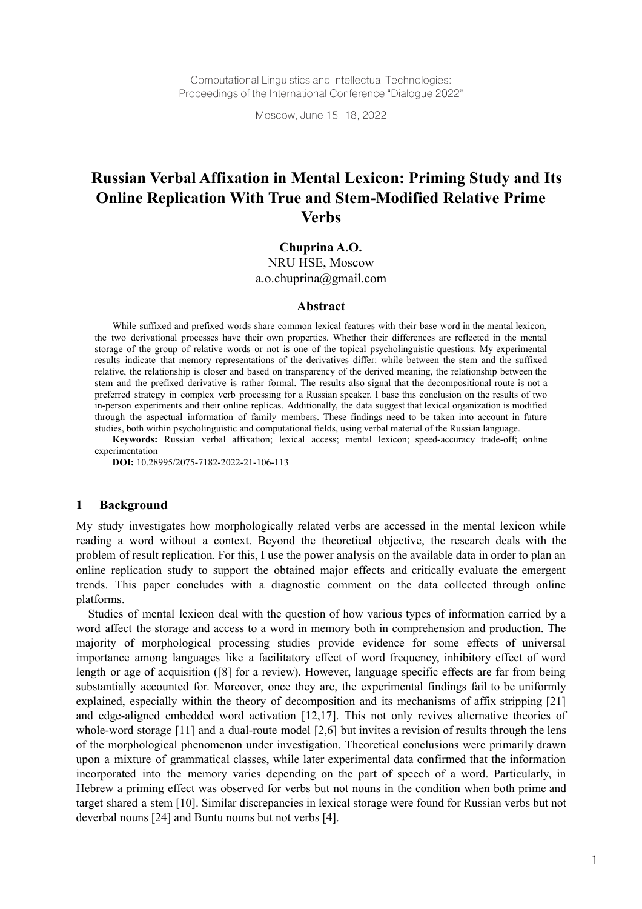Computational Linguistics and Intellectual Technologies: Proceedings of the International Conference "Dialogue 2022"

Moscow, June 15–18, 2022

# **Russian Verbal Affixation in Mental Lexicon: Priming Study and Its Online Replication With True and Stem-Modified Relative Prime Verbs**

**Chuprina A.O.** NRU HSE, Moscow a.o.chuprina@gmail.com

## **Abstract**

While suffixed and prefixed words share common lexical features with their base word in the mental lexicon, the two derivational processes have their own properties. Whether their differences are reflected in the mental storage of the group of relative words or not is one of the topical psycholinguistic questions. My experimental results indicate that memory representations of the derivatives differ: while between the stem and the suffixed relative, the relationship is closer and based on transparency of the derived meaning, the relationship between the stem and the prefixed derivative is rather formal. The results also signal that the decompositional route is not a preferred strategy in complex verb processing for a Russian speaker. I base this conclusion on the results of two in-person experiments and their online replicas. Additionally, the data suggest that lexical organization is modified through the aspectual information of family members. These findings need to be taken into account in future studies, both within psycholinguistic and computational fields, using verbal material of the Russian language.

**Keywords:** Russian verbal affixation; lexical access; mental lexicon; speed-accuracy trade-off; online experimentation

**DOI:** 10.28995/2075-7182-2022-21-106-113

#### **1 Background**

My study investigates how morphologically related verbs are accessed in the mental lexicon while reading a word without a context. Beyond the theoretical objective, the research deals with the problem of result replication. For this, I use the power analysis on the available data in order to plan an online replication study to support the obtained major effects and critically evaluate the emergent trends. This paper concludes with a diagnostic comment on the data collected through online platforms.

Studies of mental lexicon deal with the question of how various types of information carried by a word affect the storage and access to a word in memory both in comprehension and production. The majority of morphological processing studies provide evidence for some effects of universal importance among languages like a facilitatory effect of word frequency, inhibitory effect of word length or age of acquisition ([8] for a review). However, language specific effects are far from being substantially accounted for. Moreover, once they are, the experimental findings fail to be uniformly explained, especially within the theory of decomposition and its mechanisms of affix stripping [21] and edge-aligned embedded word activation [12,17]. This not only revives alternative theories of whole-word storage [11] and a dual-route model [2,6] but invites a revision of results through the lens of the morphological phenomenon under investigation. Theoretical conclusions were primarily drawn upon a mixture of grammatical classes, while later experimental data confirmed that the information incorporated into the memory varies depending on the part of speech of a word. Particularly, in Hebrew a priming effect was observed for verbs but not nouns in the condition when both prime and target shared a stem [10]. Similar discrepancies in lexical storage were found for Russian verbs but not deverbal nouns [24] and Buntu nouns but not verbs [4].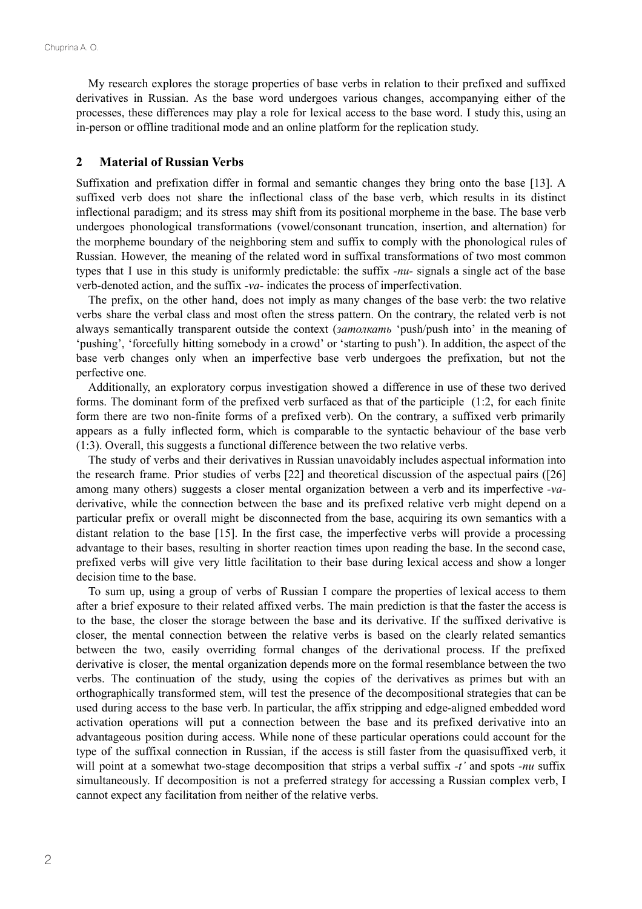My research explores the storage properties of base verbs in relation to their prefixed and suffixed derivatives in Russian. As the base word undergoes various changes, accompanying either of the processes, these differences may play a role for lexical access to the base word. I study this, using an in-person or offline traditional mode and an online platform for the replication study.

# **2 Material of Russian Verbs**

Suffixation and prefixation differ in formal and semantic changes they bring onto the base [13]. A suffixed verb does not share the inflectional class of the base verb, which results in its distinct inflectional paradigm; and its stress may shift from its positional morpheme in the base. The base verb undergoes phonological transformations (vowel/consonant truncation, insertion, and alternation) for the morpheme boundary of the neighboring stem and suffix to comply with the phonological rules of Russian. However, the meaning of the related word in suffixal transformations of two most common types that I use in this study is uniformly predictable: the suffix *-nu-* signals a single act of the base verb-denoted action, and the suffix *-va-* indicates the process of imperfectivation.

The prefix, on the other hand, does not imply as many changes of the base verb: the two relative verbs share the verbal class and most often the stress pattern. On the contrary, the related verb is not always semantically transparent outside the context (*затолкать* 'push/push into' in the meaning of 'pushing', 'forcefully hitting somebody in a crowd' or 'starting to push'). In addition, the aspect of the base verb changes only when an imperfective base verb undergoes the prefixation, but not the perfective one.

Additionally, an exploratory corpus investigation showed a difference in use of these two derived forms. The dominant form of the prefixed verb surfaced as that of the participle (1:2, for each finite form there are two non-finite forms of a prefixed verb). On the contrary, a suffixed verb primarily appears as a fully inflected form, which is comparable to the syntactic behaviour of the base verb (1:3). Overall, this suggests a functional difference between the two relative verbs.

The study of verbs and their derivatives in Russian unavoidably includes aspectual information into the research frame. Prior studies of verbs [22] and theoretical discussion of the aspectual pairs ([26] among many others) suggests a closer mental organization between a verb and its imperfective *-va*derivative, while the connection between the base and its prefixed relative verb might depend on a particular prefix or overall might be disconnected from the base, acquiring its own semantics with a distant relation to the base [15]. In the first case, the imperfective verbs will provide a processing advantage to their bases, resulting in shorter reaction times upon reading the base. In the second case, prefixed verbs will give very little facilitation to their base during lexical access and show a longer decision time to the base.

To sum up, using a group of verbs of Russian I compare the properties of lexical access to them after a brief exposure to their related affixed verbs. The main prediction is that the faster the access is to the base, the closer the storage between the base and its derivative. If the suffixed derivative is closer, the mental connection between the relative verbs is based on the clearly related semantics between the two, easily overriding formal changes of the derivational process. If the prefixed derivative is closer, the mental organization depends more on the formal resemblance between the two verbs. The continuation of the study, using the copies of the derivatives as primes but with an orthographically transformed stem, will test the presence of the decompositional strategies that can be used during access to the base verb. In particular, the affix stripping and edge-aligned embedded word activation operations will put a connection between the base and its prefixed derivative into an advantageous position during access. While none of these particular operations could account for the type of the suffixal connection in Russian, if the access is still faster from the quasisuffixed verb, it will point at a somewhat two-stage decomposition that strips a verbal suffix *-t'* and spots *-nu* suffix simultaneously. If decomposition is not a preferred strategy for accessing a Russian complex verb, I cannot expect any facilitation from neither of the relative verbs.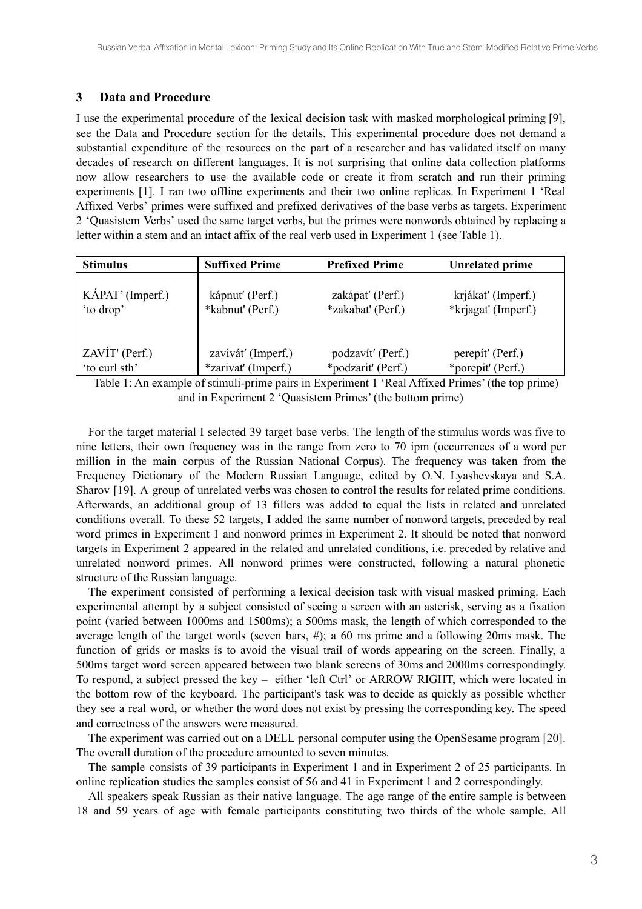# **3 Data and Procedure**

I use the experimental procedure of the lexical decision task with masked morphological priming [9], see the Data and Procedure section for the details. This experimental procedure does not demand a substantial expenditure of the resources on the part of a researcher and has validated itself on many decades of research on different languages. It is not surprising that online data collection platforms now allow researchers to use the available code or create it from scratch and run their priming experiments [1]. I ran two offline experiments and their two online replicas. In Experiment 1 'Real Affixed Verbs' primes were suffixed and prefixed derivatives of the base verbs as targets. Experiment 2 'Quasistem Verbs' used the same target verbs, but the primes were nonwords obtained by replacing a letter within a stem and an intact affix of the real verb used in Experiment 1 (see Table 1).

| <b>Stimulus</b>  | <b>Suffixed Prime</b> | <b>Prefixed Prime</b> | <b>Unrelated prime</b> |
|------------------|-----------------------|-----------------------|------------------------|
| KÁPAT' (Imperf.) | kápnut' (Perf.)       | zakápat' (Perf.)      | krjákat' (Imperf.)     |
| 'to drop'        | *kabnut' (Perf.)      | *zakabat' (Perf.)     | *krjagat' (Imperf.)    |
| ZAVÍT' (Perf.)   | zavivát' (Imperf.)    | podzavíť (Perf.)      | perepit' (Perf.)       |
| 'to curl sth'    | *zarivat' (Imperf.)   | *podzarit' (Perf.)    | *porepit' (Perf.)      |

Table 1: An example of stimuli-prime pairs in Experiment 1 'Real Affixed Primes' (the top prime) and in Experiment 2 'Quasistem Primes' (the bottom prime)

For the target material I selected 39 target base verbs. The length of the stimulus words was five to nine letters, their own frequency was in the range from zero to 70 ipm (occurrences of a word per million in the main corpus of the Russian National Corpus). The frequency was taken from the Frequency Dictionary of the Modern Russian Language, edited by O.N. Lyashevskaya and S.A. Sharov [19]. A group of unrelated verbs was chosen to control the results for related prime conditions. Afterwards, an additional group of 13 fillers was added to equal the lists in related and unrelated conditions overall. To these 52 targets, I added the same number of nonword targets, preceded by real word primes in Experiment 1 and nonword primes in Experiment 2. It should be noted that nonword targets in Experiment 2 appeared in the related and unrelated conditions, i.e. preceded by relative and unrelated nonword primes. All nonword primes were constructed, following a natural phonetic structure of the Russian language.

The experiment consisted of performing a lexical decision task with visual masked priming. Each experimental attempt by a subject consisted of seeing a screen with an asterisk, serving as a fixation point (varied between 1000ms and 1500ms); a 500ms mask, the length of which corresponded to the average length of the target words (seven bars, #); a 60 ms prime and a following 20ms mask. The function of grids or masks is to avoid the visual trail of words appearing on the screen. Finally, a 500ms target word screen appeared between two blank screens of 30ms and 2000ms correspondingly. To respond, a subject pressed the key – either 'left Ctrl' or ARROW RIGHT, which were located in the bottom row of the keyboard. The participant's task was to decide as quickly as possible whether they see a real word, or whether the word does not exist by pressing the corresponding key. The speed and correctness of the answers were measured.

The experiment was carried out on a DELL personal computer using the OpenSesame program [20]. The overall duration of the procedure amounted to seven minutes.

The sample consists of 39 participants in Experiment 1 and in Experiment 2 of 25 participants. In online replication studies the samples consist of 56 and 41 in Experiment 1 and 2 correspondingly.

All speakers speak Russian as their native language. The age range of the entire sample is between 18 and 59 years of age with female participants constituting two thirds of the whole sample. All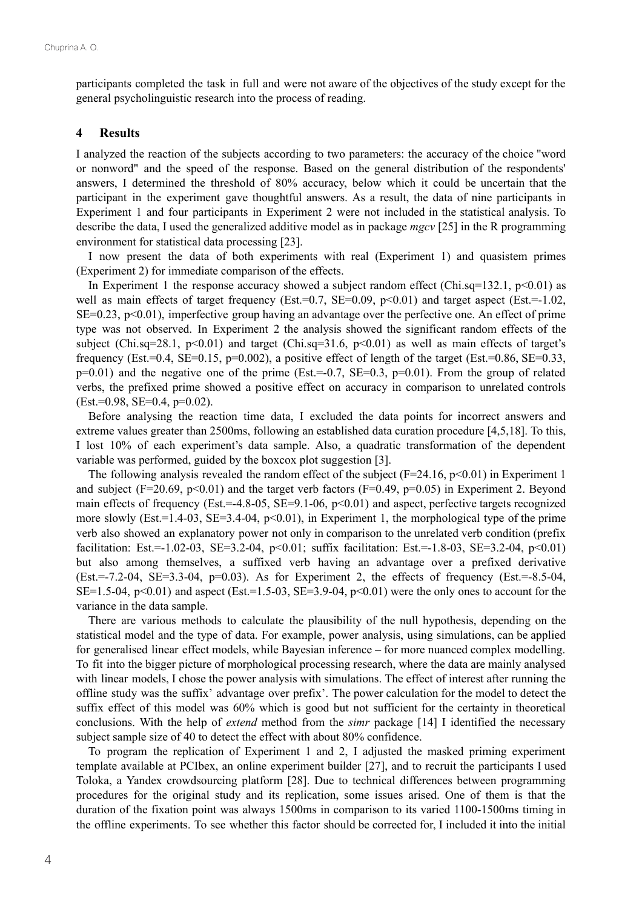participants completed the task in full and were not aware of the objectives of the study except for the general psycholinguistic research into the process of reading.

### **4 Results**

I analyzed the reaction of the subjects according to two parameters: the accuracy of the choice "word or nonword" and the speed of the response. Based on the general distribution of the respondents' answers, I determined the threshold of 80% accuracy, below which it could be uncertain that the participant in the experiment gave thoughtful answers. As a result, the data of nine participants in Experiment 1 and four participants in Experiment 2 were not included in the statistical analysis. To describe the data, I used the generalized additive model as in package *mgcv* [25] in the R programming environment for statistical data processing [23].

I now present the data of both experiments with real (Experiment 1) and quasistem primes (Experiment 2) for immediate comparison of the effects.

In Experiment 1 the response accuracy showed a subject random effect (Chi.sq=132.1, p<0.01) as well as main effects of target frequency (Est.=0.7, SE=0.09,  $p<0.01$ ) and target aspect (Est.=-1.02,  $SE=0.23$ ,  $p<0.01$ ), imperfective group having an advantage over the perfective one. An effect of prime type was not observed. In Experiment 2 the analysis showed the significant random effects of the subject (Chi.sq=28.1, p<0.01) and target (Chi.sq=31.6, p<0.01) as well as main effects of target's frequency (Est.=0.4, SE=0.15, p=0.002), a positive effect of length of the target (Est.=0.86, SE=0.33,  $p=0.01$ ) and the negative one of the prime (Est.=-0.7, SE=0.3,  $p=0.01$ ). From the group of related verbs, the prefixed prime showed a positive effect on accuracy in comparison to unrelated controls  $(Est.=0.98, SE=0.4, p=0.02).$ 

Before analysing the reaction time data, I excluded the data points for incorrect answers and extreme values greater than 2500ms, following an established data curation procedure [4,5,18]. To this, I lost 10% of each experiment's data sample. Also, a quadratic transformation of the dependent variable was performed, guided by the boxcox plot suggestion [3].

The following analysis revealed the random effect of the subject  $(F=24.16, p<0.01)$  in Experiment 1 and subject (F=20.69,  $p<0.01$ ) and the target verb factors (F=0.49,  $p=0.05$ ) in Experiment 2. Beyond main effects of frequency (Est.=-4.8-05, SE=9.1-06, p<0.01) and aspect, perfective targets recognized more slowly (Est.=1.4-03, SE=3.4-04,  $p<0.01$ ), in Experiment 1, the morphological type of the prime verb also showed an explanatory power not only in comparison to the unrelated verb condition (prefix facilitation: Est.=-1.02-03, SE=3.2-04, p<0.01; suffix facilitation: Est.=-1.8-03, SE=3.2-04, p<0.01) but also among themselves, a suffixed verb having an advantage over a prefixed derivative  $(Est.=-7.2-04, SE=3.3-04, p=0.03)$ . As for Experiment 2, the effects of frequency  $(Est.=-8.5-04, p=0.03)$ . SE=1.5-04,  $p<0.01$ ) and aspect (Est.=1.5-03, SE=3.9-04,  $p<0.01$ ) were the only ones to account for the variance in the data sample.

There are various methods to calculate the plausibility of the null hypothesis, depending on the statistical model and the type of data. For example, power analysis, using simulations, can be applied for generalised linear effect models, while Bayesian inference – for more nuanced complex modelling. To fit into the bigger picture of morphological processing research, where the data are mainly analysed with linear models, I chose the power analysis with simulations. The effect of interest after running the offline study was the suffix' advantage over prefix'. The power calculation for the model to detect the suffix effect of this model was 60% which is good but not sufficient for the certainty in theoretical conclusions. With the help of *extend* method from the *simr* package [14] I identified the necessary subject sample size of 40 to detect the effect with about 80% confidence.

To program the replication of Experiment 1 and 2, I adjusted the masked priming experiment template available at PCIbex, an online experiment builder [27], and to recruit the participants I used Toloka, a Yandex crowdsourcing platform [28]. Due to technical differences between programming procedures for the original study and its replication, some issues arised. One of them is that the duration of the fixation point was always 1500ms in comparison to its varied 1100-1500ms timing in the offline experiments. To see whether this factor should be corrected for, I included it into the initial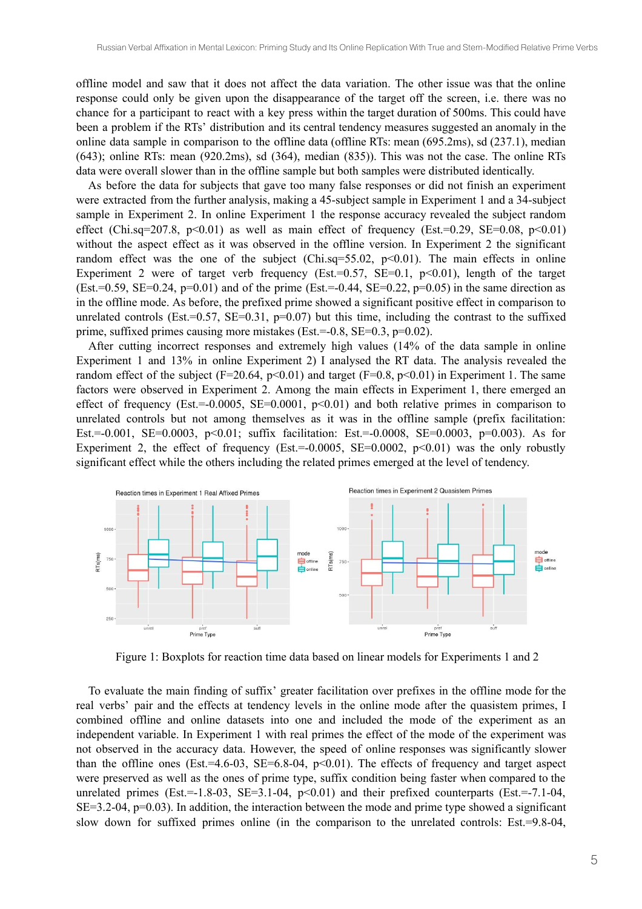offline model and saw that it does not affect the data variation. The other issue was that the online response could only be given upon the disappearance of the target off the screen, i.e. there was no chance for a participant to react with a key press within the target duration of 500ms. This could have been a problem if the RTs' distribution and its central tendency measures suggested an anomaly in the online data sample in comparison to the offline data (offline RTs: mean (695.2ms), sd (237.1), median (643); online RTs: mean (920.2ms), sd (364), median (835)). This was not the case. The online RTs data were overall slower than in the offline sample but both samples were distributed identically.

As before the data for subjects that gave too many false responses or did not finish an experiment were extracted from the further analysis, making a 45-subject sample in Experiment 1 and a 34-subject sample in Experiment 2. In online Experiment 1 the response accuracy revealed the subject random effect (Chi.sq=207.8, p<0.01) as well as main effect of frequency (Est.=0.29, SE=0.08, p<0.01) without the aspect effect as it was observed in the offline version. In Experiment 2 the significant random effect was the one of the subject (Chi.sq=55.02, p<0.01). The main effects in online Experiment 2 were of target verb frequency (Est.=0.57, SE=0.1,  $p<0.01$ ), length of the target (Est.=0.59, SE=0.24, p=0.01) and of the prime (Est.=-0.44, SE=0.22, p=0.05) in the same direction as in the offline mode. As before, the prefixed prime showed a significant positive effect in comparison to unrelated controls (Est.=0.57, SE=0.31,  $p=0.07$ ) but this time, including the contrast to the suffixed prime, suffixed primes causing more mistakes (Est.=-0.8, SE=0.3, p=0.02).

After cutting incorrect responses and extremely high values (14% of the data sample in online Experiment 1 and 13% in online Experiment 2) I analysed the RT data. The analysis revealed the random effect of the subject (F=20.64,  $p<0.01$ ) and target (F=0.8,  $p<0.01$ ) in Experiment 1. The same factors were observed in Experiment 2. Among the main effects in Experiment 1, there emerged an effect of frequency (Est.=-0.0005, SE=0.0001,  $p<0.01$ ) and both relative primes in comparison to unrelated controls but not among themselves as it was in the offline sample (prefix facilitation: Est.=-0.001, SE=0.0003, p<0.01; suffix facilitation: Est.=-0.0008, SE=0.0003, p=0.003). As for Experiment 2, the effect of frequency (Est.=-0.0005, SE=0.0002,  $p \le 0.01$ ) was the only robustly significant effect while the others including the related primes emerged at the level of tendency.



Figure 1: Boxplots for reaction time data based on linear models for Experiments 1 and 2

To evaluate the main finding of suffix' greater facilitation over prefixes in the offline mode for the real verbs' pair and the effects at tendency levels in the online mode after the quasistem primes, I combined offline and online datasets into one and included the mode of the experiment as an independent variable. In Experiment 1 with real primes the effect of the mode of the experiment was not observed in the accuracy data. However, the speed of online responses was significantly slower than the offline ones (Est.=4.6-03, SE=6.8-04, p<0.01). The effects of frequency and target aspect were preserved as well as the ones of prime type, suffix condition being faster when compared to the unrelated primes  $(Est.=-1.8-03, SE=3.1-04, p<0.01)$  and their prefixed counterparts  $(Est.=-7.1-04, p<0.01)$  $SE=3.2-04$ ,  $p=0.03$ ). In addition, the interaction between the mode and prime type showed a significant slow down for suffixed primes online (in the comparison to the unrelated controls: Est.=9.8-04,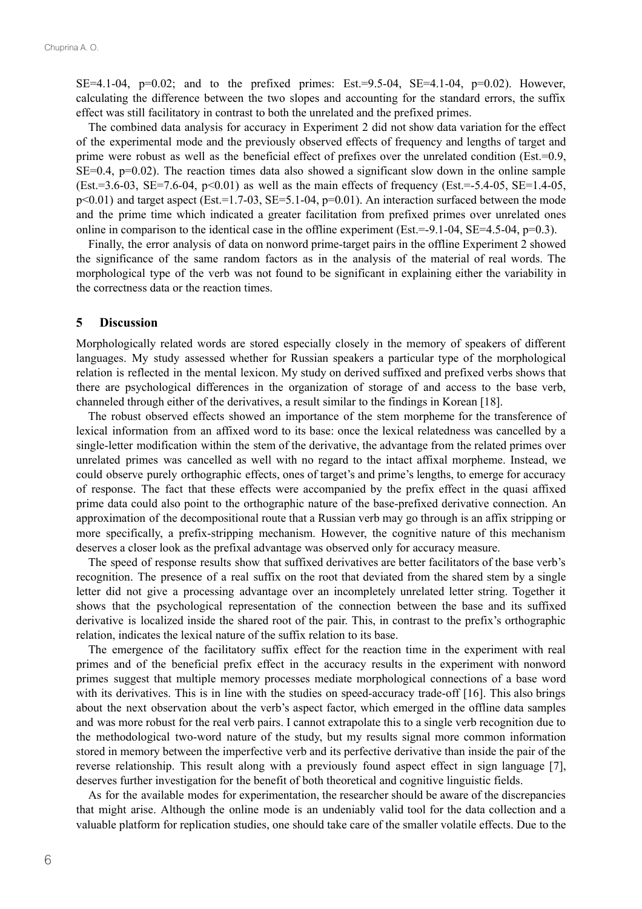SE=4.1-04,  $p=0.02$ ; and to the prefixed primes: Est.=9.5-04, SE=4.1-04,  $p=0.02$ ). However, calculating the difference between the two slopes and accounting for the standard errors, the suffix effect was still facilitatory in contrast to both the unrelated and the prefixed primes.

The combined data analysis for accuracy in Experiment 2 did not show data variation for the effect of the experimental mode and the previously observed effects of frequency and lengths of target and prime were robust as well as the beneficial effect of prefixes over the unrelated condition (Est.=0.9, SE=0.4, p=0.02). The reaction times data also showed a significant slow down in the online sample  $(Est.=3.6-03, SE=7.6-04, p<0.01)$  as well as the main effects of frequency (Est. = -5.4-05, SE=1.4-05, p<0.01) and target aspect (Est.=1.7-03, SE=5.1-04, p=0.01). An interaction surfaced between the mode and the prime time which indicated a greater facilitation from prefixed primes over unrelated ones online in comparison to the identical case in the offline experiment (Est.=-9.1-04, SE=4.5-04, p=0.3).

Finally, the error analysis of data on nonword prime-target pairs in the offline Experiment 2 showed the significance of the same random factors as in the analysis of the material of real words. The morphological type of the verb was not found to be significant in explaining either the variability in the correctness data or the reaction times.

### **5 Discussion**

Morphologically related words are stored especially closely in the memory of speakers of different languages. My study assessed whether for Russian speakers a particular type of the morphological relation is reflected in the mental lexicon. My study on derived suffixed and prefixed verbs shows that there are psychological differences in the organization of storage of and access to the base verb, channeled through either of the derivatives, a result similar to the findings in Korean [18].

The robust observed effects showed an importance of the stem morpheme for the transference of lexical information from an affixed word to its base: once the lexical relatedness was cancelled by a single-letter modification within the stem of the derivative, the advantage from the related primes over unrelated primes was cancelled as well with no regard to the intact affixal morpheme. Instead, we could observe purely orthographic effects, ones of target's and prime's lengths, to emerge for accuracy of response. The fact that these effects were accompanied by the prefix effect in the quasi affixed prime data could also point to the orthographic nature of the base-prefixed derivative connection. An approximation of the decompositional route that a Russian verb may go through is an affix stripping or more specifically, a prefix-stripping mechanism. However, the cognitive nature of this mechanism deserves a closer look as the prefixal advantage was observed only for accuracy measure.

The speed of response results show that suffixed derivatives are better facilitators of the base verb's recognition. The presence of a real suffix on the root that deviated from the shared stem by a single letter did not give a processing advantage over an incompletely unrelated letter string. Together it shows that the psychological representation of the connection between the base and its suffixed derivative is localized inside the shared root of the pair. This, in contrast to the prefix's orthographic relation, indicates the lexical nature of the suffix relation to its base.

The emergence of the facilitatory suffix effect for the reaction time in the experiment with real primes and of the beneficial prefix effect in the accuracy results in the experiment with nonword primes suggest that multiple memory processes mediate morphological connections of a base word with its derivatives. This is in line with the studies on speed-accuracy trade-off [16]. This also brings about the next observation about the verb's aspect factor, which emerged in the offline data samples and was more robust for the real verb pairs. I cannot extrapolate this to a single verb recognition due to the methodological two-word nature of the study, but my results signal more common information stored in memory between the imperfective verb and its perfective derivative than inside the pair of the reverse relationship. This result along with a previously found aspect effect in sign language [7], deserves further investigation for the benefit of both theoretical and cognitive linguistic fields.

As for the available modes for experimentation, the researcher should be aware of the discrepancies that might arise. Although the online mode is an undeniably valid tool for the data collection and a valuable platform for replication studies, one should take care of the smaller volatile effects. Due to the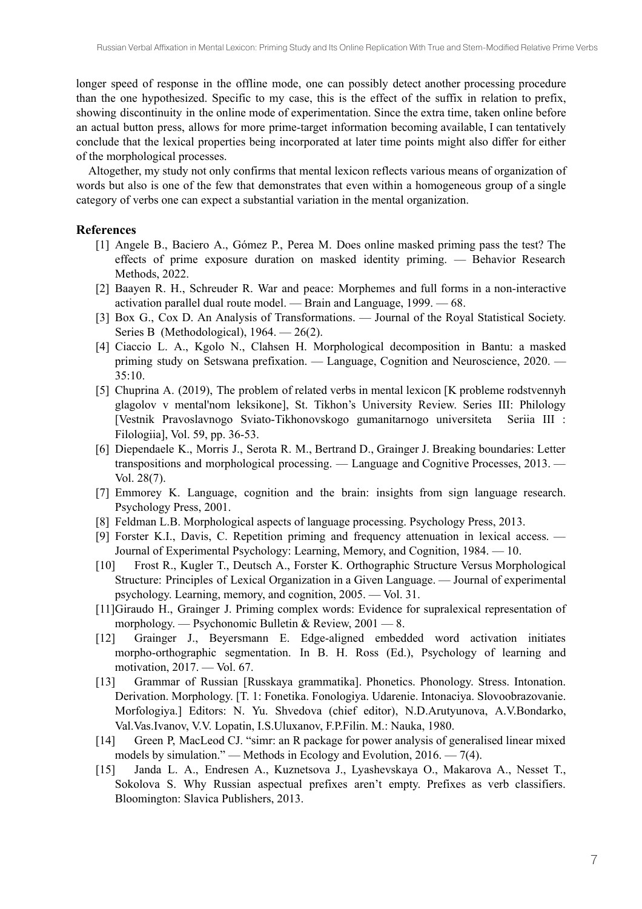longer speed of response in the offline mode, one can possibly detect another processing procedure than the one hypothesized. Specific to my case, this is the effect of the suffix in relation to prefix, showing discontinuity in the online mode of experimentation. Since the extra time, taken online before an actual button press, allows for more prime-target information becoming available, I can tentatively conclude that the lexical properties being incorporated at later time points might also differ for either of the morphological processes.

Altogether, my study not only confirms that mental lexicon reflects various means of organization of words but also is one of the few that demonstrates that even within a homogeneous group of a single category of verbs one can expect a substantial variation in the mental organization.

# **References**

- [1] Angele B., Baciero A., Gómez P., Perea M. Does online masked priming pass the test? The effects of prime exposure duration on masked identity priming. — Behavior Research Methods, 2022.
- [2] Baayen R. H., Schreuder R. War and peace: Morphemes and full forms in a non-interactive activation parallel dual route model. — Brain and Language, 1999. — 68.
- [3] Box G., Cox D. An Analysis of Transformations. Journal of the Royal Statistical Society. Series B (Methodological), 1964. — 26(2).
- [4] Ciaccio L. A., Kgolo N., Clahsen H. Morphological decomposition in Bantu: a masked priming study on Setswana prefixation. — Language, Cognition and Neuroscience, 2020. —  $35 \cdot 10$
- [5] Chuprina A. (2019), The problem of related verbs in mental lexicon [K probleme rodstvennyh glagolov v mental'nom leksikone], St. Tikhon's University Review. Series III: Philology [Vestnik Pravoslavnogo Sviato-Tikhonovskogo gumanitarnogo universiteta Seriia III : Filologiia], Vol. 59, pp. 36-53.
- [6] Diependaele K., Morris J., Serota R. M., Bertrand D., Grainger J. Breaking boundaries: Letter transpositions and morphological processing. — Language and Cognitive Processes, 2013. — Vol. 28(7).
- [7] Emmorey K. Language, cognition and the brain: insights from sign language research. Psychology Press, 2001.
- [8] Feldman L.B. Morphological aspects of language processing. Psychology Press, 2013.
- [9] Forster K.I., Davis, C. Repetition priming and frequency attenuation in lexical access. Journal of Experimental Psychology: Learning, Memory, and Cognition, 1984. — 10.
- [10] Frost R., Kugler T., Deutsch A., Forster K. Orthographic Structure Versus Morphological Structure: Principles of Lexical Organization in a Given Language. — Journal of experimental psychology. Learning, memory, and cognition, 2005. — Vol. 31.
- [11]Giraudo H., Grainger J. Priming complex words: Evidence for supralexical representation of morphology. — Psychonomic Bulletin & Review, 2001 — 8.
- [12] Grainger J., Beyersmann E. Edge-aligned embedded word activation initiates morpho-orthographic segmentation. In B. H. Ross (Ed.), Psychology of learning and motivation, 2017. — Vol. 67.
- [13] Grammar of Russian [Russkaya grammatika]. Phonetics. Phonology. Stress. Intonation. Derivation. Morphology. [T. 1: Fonetika. Fonologiya. Udarenie. Intonaciya. Slovoobrazovanie. Morfologiya.] Editors: N. Yu. Shvedova (chief editor), N.D.Arutyunova, A.V.Bondarko, Val.Vas.Ivanov, V.V. Lopatin, I.S.Uluxanov, F.P.Filin. M.: Nauka, 1980.
- [14] Green P, MacLeod CJ. "simr: an R package for power analysis of generalised linear mixed models by simulation." — Methods in Ecology and Evolution,  $2016 = 7(4)$ .
- [15] Janda L. A., Endresen A., Kuznetsova J., Lyashevskaya O., Makarova A., Nesset T., Sokolova S. Why Russian aspectual prefixes aren't empty. Prefixes as verb classifiers. Bloomington: Slavica Publishers, 2013.